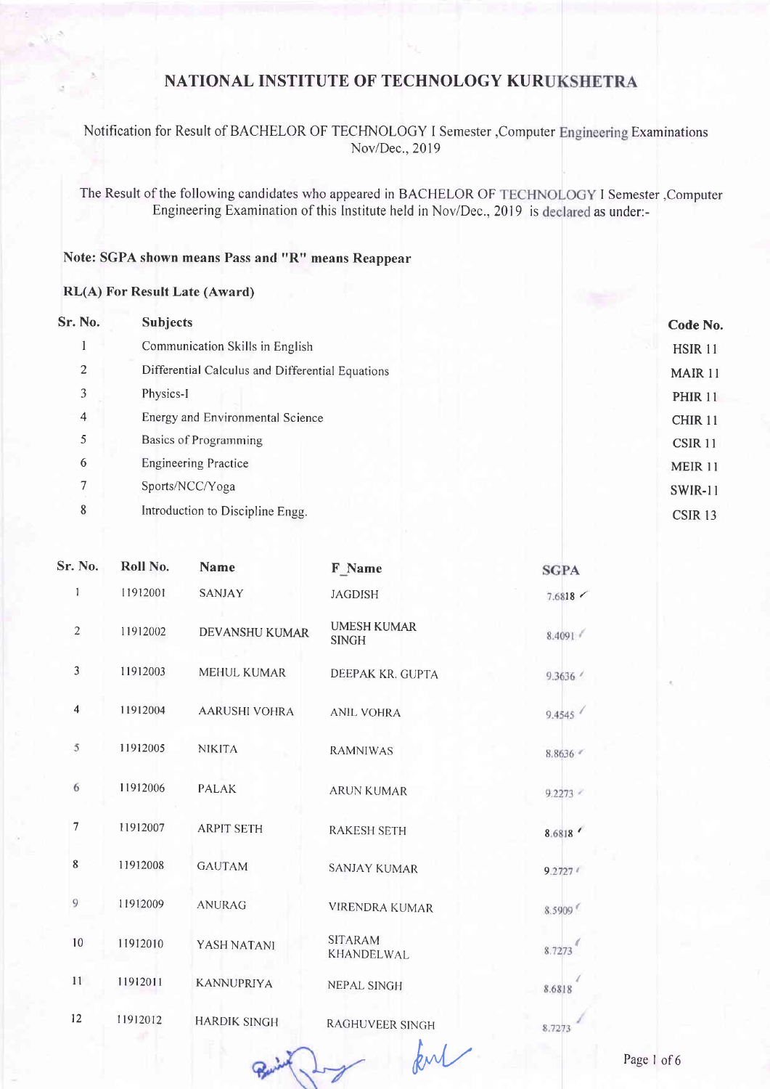## Notification for Result of BACHELOR OF TECHNOLOGY I Semester , Computer Engineering Examinations Nov/Dec., 2019

The Result of the following candidates who appeared in BACHELOR OF TECHNOLOGY I Semester , Computer Engineering Examination of this Institute held in Nov/Dec., 2019 is declared as under:-

## Note: SGPA shown means Pass and "R" means Reappear

### **RL(A) For Result Late (Award)**

| Sr. No. | <b>Subjects</b>                                  | Code No.           |
|---------|--------------------------------------------------|--------------------|
|         | Communication Skills in English                  | <b>HSIR 11</b>     |
| 2       | Differential Calculus and Differential Equations | MAIR 11            |
| 3       | Physics-I                                        | <b>PHIR 11</b>     |
| 4       | Energy and Environmental Science                 | CHIR <sub>11</sub> |
| 5       | Basics of Programming                            | CSIR <sub>11</sub> |
| 6       | <b>Engineering Practice</b>                      | <b>MEIR 11</b>     |
| 7       | Sports/NCC/Yoga                                  | <b>SWIR-11</b>     |
| 8       | Introduction to Discipline Engg.                 | CSIR <sub>13</sub> |

| Sr. No.                 | Roll No. | <b>Name</b>           | F Name                              | <b>SGPA</b> |
|-------------------------|----------|-----------------------|-------------------------------------|-------------|
| 1                       | 11912001 | <b>SANJAY</b>         | <b>JAGDISH</b>                      | 7.6818      |
| $\overline{2}$          | 11912002 | <b>DEVANSHU KUMAR</b> | <b>UMESH KUMAR</b><br><b>SINGH</b>  | 8.4091      |
| 3                       | 11912003 | MEHUL KUMAR           | DEEPAK KR. GUPTA                    | 9.3636      |
| $\overline{\mathbf{4}}$ | 11912004 | <b>AARUSHI VOHRA</b>  | <b>ANIL VOHRA</b>                   | 9.4545      |
| $\overline{5}$          | 11912005 | <b>NIKITA</b>         | <b>RAMNIWAS</b>                     | 8.8636      |
| 6                       | 11912006 | <b>PALAK</b>          | <b>ARUN KUMAR</b>                   | 9.2273      |
| $\overline{7}$          | 11912007 | <b>ARPIT SETH</b>     | <b>RAKESH SETH</b>                  | 8.6818      |
| 8                       | 11912008 | <b>GAUTAM</b>         | <b>SANJAY KUMAR</b>                 | 9.27274     |
| $\overline{9}$          | 11912009 | <b>ANURAG</b>         | <b>VIRENDRA KUMAR</b>               | 8.5909      |
| 10                      | 11912010 | YASH NATANI           | <b>SITARAM</b><br><b>KHANDELWAL</b> | 8.7273      |
| 11                      | 11912011 | <b>KANNUPRIYA</b>     | <b>NEPAL SINGH</b>                  | 8.6818      |
| 12                      | 11912012 | <b>HARDIK SINGH</b>   | RAGHUVEER SINGH                     | 8.7273      |
|                         |          |                       |                                     |             |

Ly kul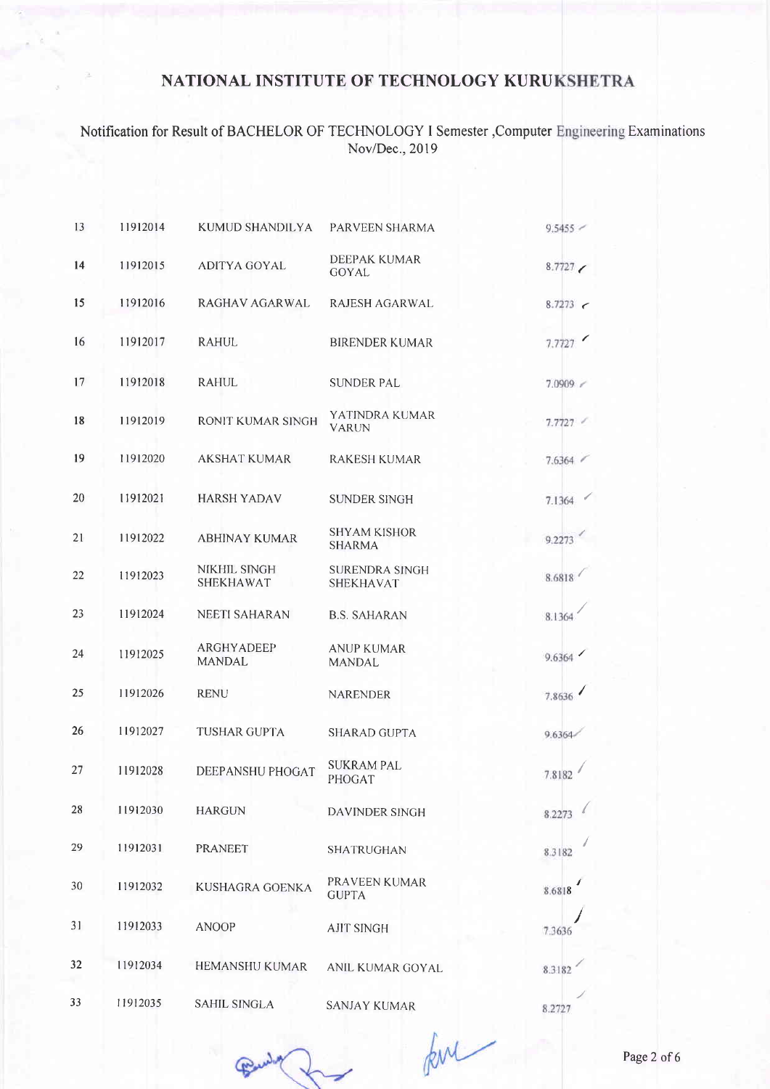Notification for Result of BACHELOR OF TECHNOLOGY I Semester ,Computer Engineering Examinations<br>Nov/Dec., 2019

| 13 | 11912014 | KUMUD SHANDILYA                    | PARVEEN SHARMA                            | 9.5455 |
|----|----------|------------------------------------|-------------------------------------------|--------|
| 14 | 11912015 | <b>ADITYA GOYAL</b>                | <b>DEEPAK KUMAR</b><br>GOYAL              | 8.7727 |
| 15 | 11912016 | RAGHAV AGARWAL                     | RAJESH AGARWAL                            | 8.7273 |
| 16 | 11912017 | <b>RAHUL</b>                       | <b>BIRENDER KUMAR</b>                     | 7.7727 |
| 17 | 11912018 | <b>RAHUL</b>                       | <b>SUNDER PAL</b>                         | 7.0909 |
| 18 | 11912019 | RONIT KUMAR SINGH                  | YATINDRA KUMAR<br><b>VARUN</b>            | 7.7727 |
| 19 | 11912020 | <b>AKSHAT KUMAR</b>                | <b>RAKESH KUMAR</b>                       | 7.6364 |
| 20 | 11912021 | <b>HARSH YADAV</b>                 | <b>SUNDER SINGH</b>                       | 7.1364 |
| 21 | 11912022 | <b>ABHINAY KUMAR</b>               | <b>SHYAM KISHOR</b><br><b>SHARMA</b>      | 9.2273 |
| 22 | 11912023 | NIKHIL SINGH<br><b>SHEKHAWAT</b>   | <b>SURENDRA SINGH</b><br><b>SHEKHAVAT</b> | 8.6818 |
| 23 | 11912024 | <b>NEETI SAHARAN</b>               | <b>B.S. SAHARAN</b>                       | 8.1364 |
| 24 | 11912025 | <b>ARGHYADEEP</b><br><b>MANDAL</b> | <b>ANUP KUMAR</b><br><b>MANDAL</b>        | 9.6364 |
| 25 | 11912026 | <b>RENU</b>                        | <b>NARENDER</b>                           | 7.8636 |
| 26 | 11912027 | <b>TUSHAR GUPTA</b>                | <b>SHARAD GUPTA</b>                       | 9.6364 |
| 27 | 11912028 | DEEPANSHU PHOGAT                   | <b>SUKRAM PAL</b><br>PHOGAT               | 7.8182 |
| 28 | 11912030 | <b>HARGUN</b>                      | DAVINDER SINGH                            | 8.2273 |
| 29 | 11912031 | <b>PRANEET</b>                     | SHATRUGHAN                                | 8.3182 |
| 30 | 11912032 | KUSHAGRA GOENKA                    | PRAVEEN KUMAR<br><b>GUPTA</b>             | 8.6818 |
| 31 | 11912033 | <b>ANOOP</b>                       | <b>AJIT SINGH</b>                         | 7.3636 |
| 32 | 11912034 | HEMANSHU KUMAR                     | ANIL KUMAR GOYAL                          | 8.3182 |
| 33 | 11912035 | <b>SAHIL SINGLA</b>                | SANJAY KUMAR                              | 8.3737 |

Pulled

for

Page 2 of 6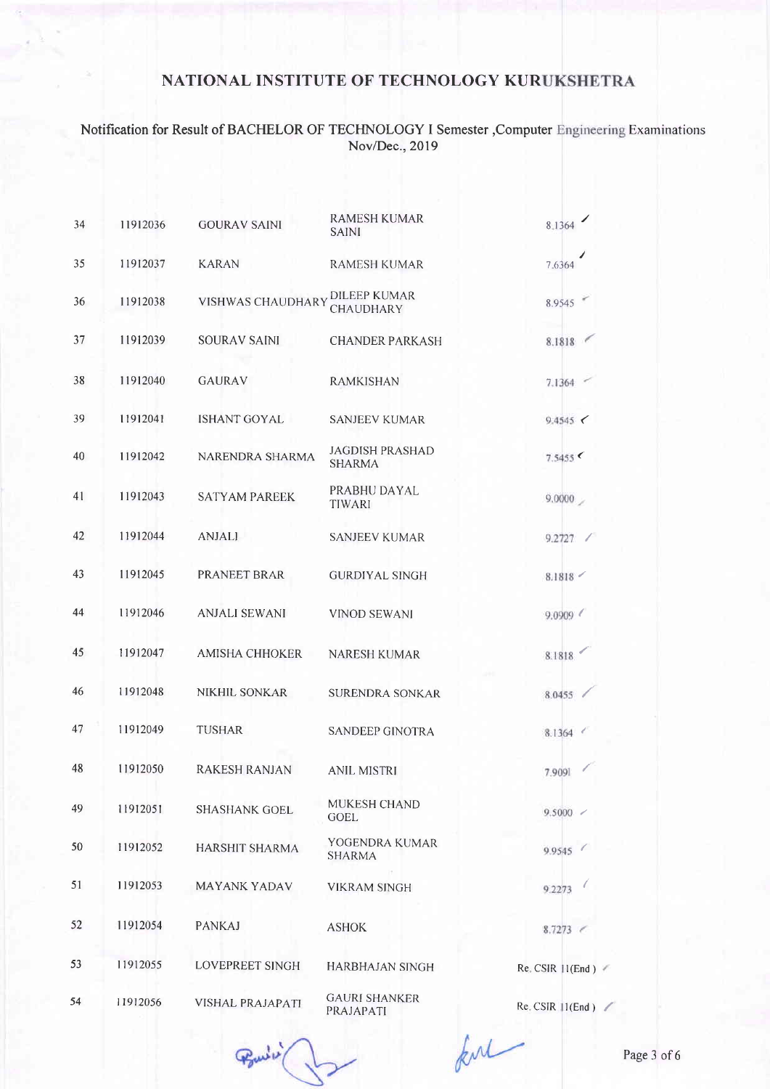#### Notification for Result of BACHELOR OF TECHNOLOGY I Semester, Compute Nov/Dec.,2019 **Examinations**

| 34 | 11912036 | <b>GOURAV SAINI</b>      | <b>RAMESH KUMAR</b><br><b>SAINI</b>     | 8.1364                |
|----|----------|--------------------------|-----------------------------------------|-----------------------|
| 35 | 11912037 | <b>KARAN</b>             | <b>RAMESH KUMAR</b>                     | 7.6364                |
| 36 | 11912038 | <b>VISHWAS CHAUDHARY</b> | <b>DILEEP KUMAR</b><br><b>CHAUDHARY</b> | 8.9545                |
| 37 | 11912039 | <b>SOURAV SAINI</b>      | <b>CHANDER PARKASH</b>                  | 8.1818                |
| 38 | 11912040 | <b>GAURAV</b>            | <b>RAMKISHAN</b>                        | 7.1364                |
| 39 | 11912041 | <b>ISHANT GOYAL</b>      | <b>SANJEEV KUMAR</b>                    | 9.4545                |
| 40 | 11912042 | <b>NARENDRA SHARMA</b>   | <b>JAGDISH PRASHAD</b><br><b>SHARMA</b> | 7.5455                |
| 41 | 11912043 | <b>SATYAM PAREEK</b>     | PRABHU DAYAL<br><b>TIWARI</b>           | 9.0000                |
| 42 | 11912044 | <b>ANJALI</b>            | <b>SANJEEV KUMAR</b>                    | 9.2727 /              |
| 43 | 11912045 | PRANEET BRAR             | <b>GURDIYAL SINGH</b>                   | 8.1818                |
| 44 | 11912046 | <b>ANJALI SEWANI</b>     | <b>VINOD SEWANI</b>                     | 9.0909                |
| 45 | 11912047 | <b>AMISHA CHHOKER</b>    | <b>NARESH KUMAR</b>                     | 8.1818                |
| 46 | 11912048 | <b>NIKHIL SONKAR</b>     | <b>SURENDRA SONKAR</b>                  | 8.0455                |
| 47 | 11912049 | <b>TUSHAR</b>            | SANDEEP GINOTRA                         | 8.1364 <              |
| 48 | 11912050 | <b>RAKESH RANJAN</b>     | <b>ANIL MISTRI</b>                      | 7.9091                |
| 49 | 11912051 | <b>SHASHANK GOEL</b>     | <b>MUKESH CHAND</b><br><b>GOEL</b>      | $9.5000$ $\sim$       |
| 50 | 11912052 | <b>HARSHIT SHARMA</b>    | YOGENDRA KUMAR<br><b>SHARMA</b>         | 9.9545                |
| 51 | 11912053 | <b>MAYANK YADAV</b>      | <b>VIKRAM SINGH</b>                     | 9.2273                |
| 52 | 11912054 | <b>PANKAJ</b>            | <b>ASHOK</b>                            | $8.7273$ $\leq$       |
| 53 | 11912055 | LOVEPREET SINGH          | <b>HARBHAJAN SINGH</b>                  | Re. CSIR   1(End)     |
| 54 | 11912056 | VISHAL PRAJAPATI         | <b>GAURI SHANKER</b><br>PRAJAPATI       | $Re$ . CSIR $11(End)$ |
|    |          |                          |                                         |                       |

Point in

ful

Page 3 of 6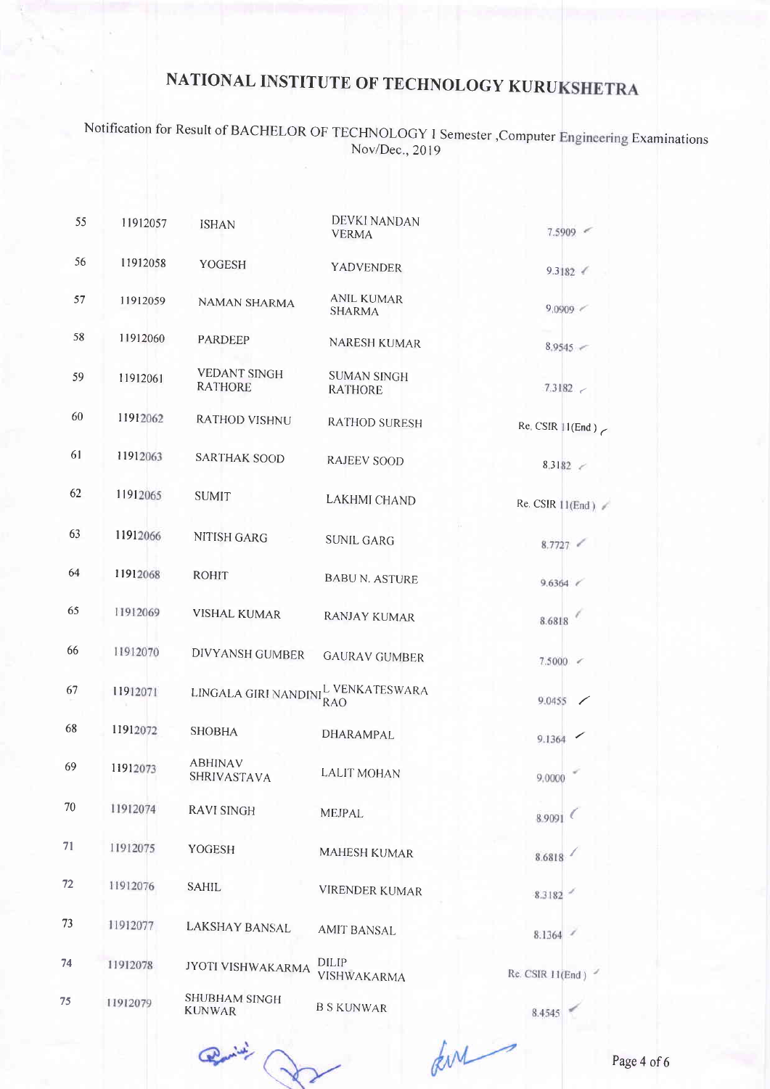Notification for Result of BACHELOR OF TECHNOLOGY I Semester, Computer Nov/Dec.,2019 Examinations

| 55 | 11912057 | <b>ISHAN</b>                          | DEVKI NANDAN<br><b>VERMA</b>         | $7.5909$ $\leq$    |
|----|----------|---------------------------------------|--------------------------------------|--------------------|
| 56 | 11912058 | YOGESH                                | <b>YADVENDER</b>                     | 9.3182             |
| 57 | 11912059 | <b>NAMAN SHARMA</b>                   | <b>ANIL KUMAR</b><br><b>SHARMA</b>   | 9.0909 <           |
| 58 | 11912060 | <b>PARDEEP</b>                        | NARESH KUMAR                         | $8.9545$ $\leq$    |
| 59 | 11912061 | <b>VEDANT SINGH</b><br><b>RATHORE</b> | <b>SUMAN SINGH</b><br><b>RATHORE</b> | 7.3182             |
| 60 | 11912062 | <b>RATHOD VISHNU</b>                  | <b>RATHOD SURESH</b>                 | Re. CSIR $11(End)$ |
| 61 | 11912063 | <b>SARTHAK SOOD</b>                   | <b>RAJEEV SOOD</b>                   | 8.3182 <           |
| 62 | 11912065 | <b>SUMIT</b>                          | <b>LAKHMI CHAND</b>                  | Re. CSIR 11(End)   |
| 63 | 11912066 | NITISH GARG                           | <b>SUNIL GARG</b>                    | 8.7727             |
| 64 | 11912068 | <b>ROHIT</b>                          | <b>BABU N. ASTURE</b>                | $9.6364 \; \; \;$  |
| 65 | 11912069 | <b>VISHAL KUMAR</b>                   | <b>RANJAY KUMAR</b>                  | 8.6818             |
| 66 | 11912070 | DIVYANSH GUMBER                       | <b>GAURAV GUMBER</b>                 | $7.5000$ $\leq$    |
| 67 | 11912071 | LINGALA GIRI NANDINI                  | L VENKATESWARA<br><b>RAO</b>         | 9.0455             |
| 68 | 11912072 | <b>SHOBHA</b>                         | DHARAMPAL                            | 9.1364             |
| 69 | 11912073 | <b>ABHINAV</b><br><b>SHRIVASTAVA</b>  | <b>LALIT MOHAN</b>                   | 9.0000             |
| 70 | 11912074 | <b>RAVI SINGH</b>                     | <b>MEJPAL</b>                        | 8.9091             |
| 71 | 11912075 | YOGESH                                | <b>MAHESH KUMAR</b>                  | 8.6818             |
| 72 | 11912076 | <b>SAHIL</b>                          | <b>VIRENDER KUMAR</b>                | 8.3182             |
| 73 | 11912077 | <b>LAKSHAY BANSAL</b>                 | <b>AMIT BANSAL</b>                   | 8.1364             |
| 74 | 11912078 | JYOTI VISHWAKARMA                     | <b>DILIP</b><br>VISHWAKARMA          | Re. CSIR 11(End)   |
| 75 | 11912079 | <b>SHUBHAM SINGH</b><br><b>KUNWAR</b> | <b>B S KUNWAR</b>                    | 8.4545             |

 $\begin{picture}(20,10) \put(0,0){\line(1,0){10}} \put(15,0){\line(1,0){10}} \put(15,0){\line(1,0){10}} \put(15,0){\line(1,0){10}} \put(15,0){\line(1,0){10}} \put(15,0){\line(1,0){10}} \put(15,0){\line(1,0){10}} \put(15,0){\line(1,0){10}} \put(15,0){\line(1,0){10}} \put(15,0){\line(1,0){10}} \put(15,0){\line(1,0){10}} \put(15,0){\line(1$ 

Lur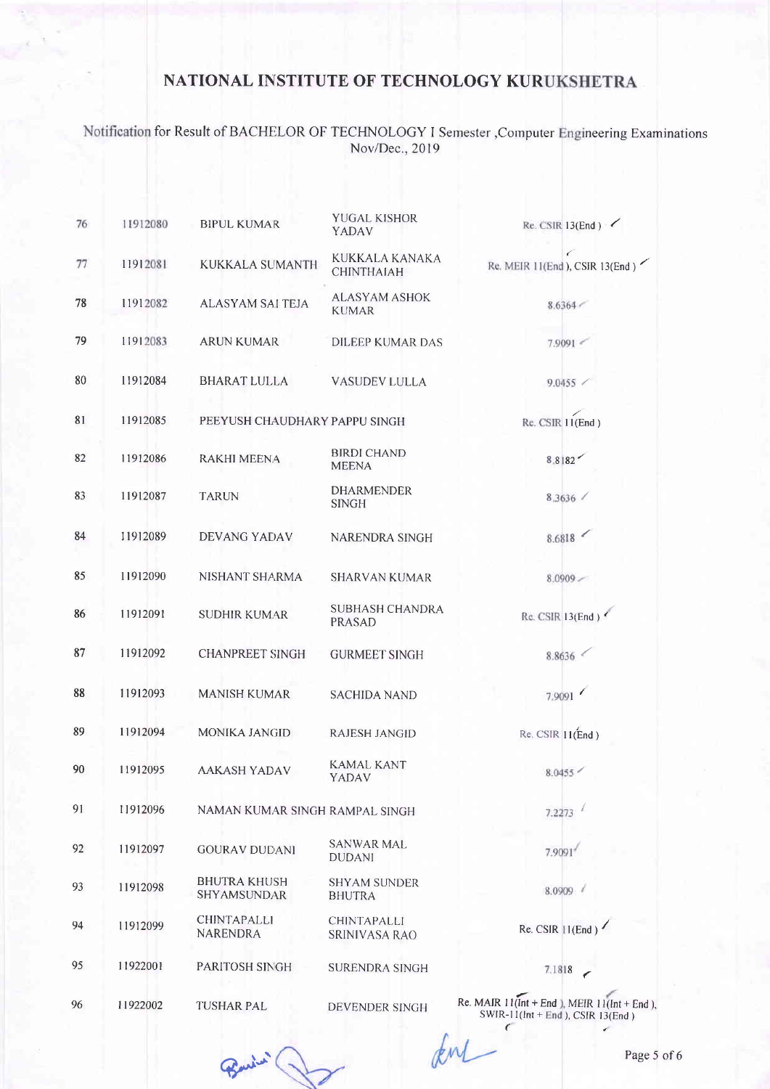# Notification for Result of BACHELOR OF TECHNOLOGY I Semester ,Computer Engineering Examinations<br>Nov/Dec., 2019

| 76 | 11912080 | <b>BIPUL KUMAR</b>                    | <b>YUGAL KISHOR</b><br>YADAV               | Re. CSIR $13(End)$                                                                        |
|----|----------|---------------------------------------|--------------------------------------------|-------------------------------------------------------------------------------------------|
| 77 | 11912081 | <b>KUKKALA SUMANTH</b>                | KUKKALA KANAKA<br><b>CHINTHAIAH</b>        | Re. MEIR 11(End ), CSIR 13(End)                                                           |
| 78 | 11912082 | ALASYAM SAI TEJA                      | <b>ALASYAM ASHOK</b><br><b>KUMAR</b>       | 8.6364                                                                                    |
| 79 | 11912083 | <b>ARUN KUMAR</b>                     | <b>DILEEP KUMAR DAS</b>                    | 7.9091                                                                                    |
| 80 | 11912084 | <b>BHARAT LULLA</b>                   | <b>VASUDEV LULLA</b>                       | $9.0455$ /                                                                                |
| 81 | 11912085 | PEEYUSH CHAUDHARY PAPPU SINGH         |                                            | Re. CSIR 11(End)                                                                          |
| 82 | 11912086 | <b>RAKHI MEENA</b>                    | <b>BIRDI CHAND</b><br><b>MEENA</b>         | 8.8182                                                                                    |
| 83 | 11912087 | <b>TARUN</b>                          | <b>DHARMENDER</b><br><b>SINGH</b>          | 8.3636 /                                                                                  |
| 84 | 11912089 | DEVANG YADAV                          | NARENDRA SINGH                             | 8.6818                                                                                    |
| 85 | 11912090 | NISHANT SHARMA                        | <b>SHARVAN KUMAR</b>                       | 8.0909                                                                                    |
| 86 | 11912091 | <b>SUDHIR KUMAR</b>                   | <b>SUBHASH CHANDRA</b><br><b>PRASAD</b>    | Re. CSIR 13(End)                                                                          |
| 87 | 11912092 | <b>CHANPREET SINGH</b>                | <b>GURMEET SINGH</b>                       | 8.8636                                                                                    |
| 88 | 11912093 | <b>MANISH KUMAR</b>                   | <b>SACHIDA NAND</b>                        | 7.9091                                                                                    |
| 89 | 11912094 | <b>MONIKA JANGID</b>                  | <b>RAJESH JANGID</b>                       | $Re.$ CSIR $11(End)$                                                                      |
| 90 | 11912095 | <b>AAKASH YADAV</b>                   | KAMAL KANT<br>YADAV                        | 8.0455                                                                                    |
| 91 | 11912096 | NAMAN KUMAR SINGH RAMPAL SINGH        |                                            | 7.2273                                                                                    |
| 92 | 11912097 | <b>GOURAV DUDANI</b>                  | <b>SANWAR MAL</b><br><b>DUDANI</b>         | 7.9091                                                                                    |
| 93 | 11912098 | <b>BHUTRA KHUSH</b><br>SHYAMSUNDAR    | <b>SHYAM SUNDER</b><br><b>BHUTRA</b>       | 8.0909                                                                                    |
| 94 | 11912099 | <b>CHINTAPALLI</b><br><b>NARENDRA</b> | <b>CHINTAPALLI</b><br><b>SRINIVASA RAO</b> | Re. CSIR $11(End)$                                                                        |
| 95 | 11922001 | PARITOSH SINGH                        | <b>SURENDRA SINGH</b>                      | 7.1818                                                                                    |
| 96 | 11922002 | <b>TUSHAR PAL</b>                     | DEVENDER SINGH                             | Re. MAIR $11$ (Int + End ), MEIR $11$ (Int + End),<br>SWIR-11(Int + End ), CSIR $13(End)$ |
|    |          |                                       |                                            | Page 5                                                                                    |

Burin (.

Page 5 of 6